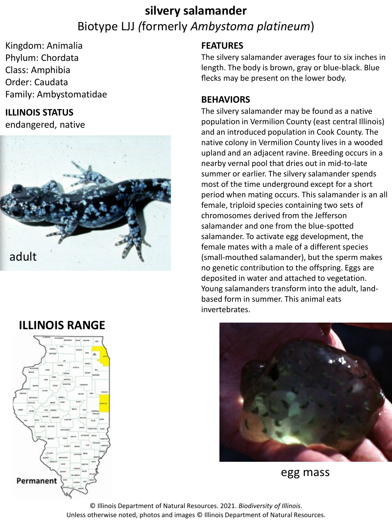## **silvery salamander** Biotype LJJ *(*formerly *Ambystoma platineum*)

Kingdom: Animalia Phylum: Chordata Class: Amphibia Order: Caudata Family: Ambystomatidae

#### **ILLINOIS STATUS**

endangered, native



### **ILLINOIS RANGE**



#### **FEATURES**

The silvery salamander averages four to six inches in length. The body is brown, gray or blue-black. Blue flecks may be present on the lower body.

#### **BEHAVIORS**

The silvery salamander may be found as a native population in Vermilion County (east central Illinois) and an introduced population in Cook County. The native colony in Vermilion County lives in a wooded upland and an adjacent ravine. Breeding occurs in a nearby vernal pool that dries out in mid-to-late summer or earlier. The silvery salamander spends most of the time underground except for a short period when mating occurs. This salamander is an all female, triploid species containing two sets of chromosomes derived from the Jefferson salamander and one from the blue-spotted salamander. To activate egg development, the female mates with a male of a different species (small-mouthed salamander), but the sperm makes no genetic contribution to the offspring. Eggs are deposited in water and attached to vegetation. Young salamanders transform into the adult, landbased form in summer. This animal eats invertebrates.



egg mass

© Illinois Department of Natural Resources. 2021. *Biodiversity of Illinois*. Unless otherwise noted, photos and images © Illinois Department of Natural Resources.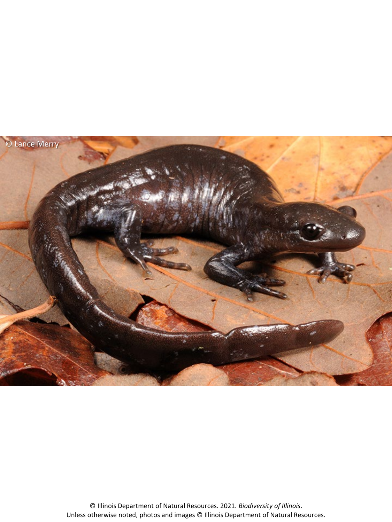

© Illinois Department of Natural Resources. 2021. *Biodiversity of Illinois*. Unless otherwise noted, photos and images © Illinois Department of Natural Resources.